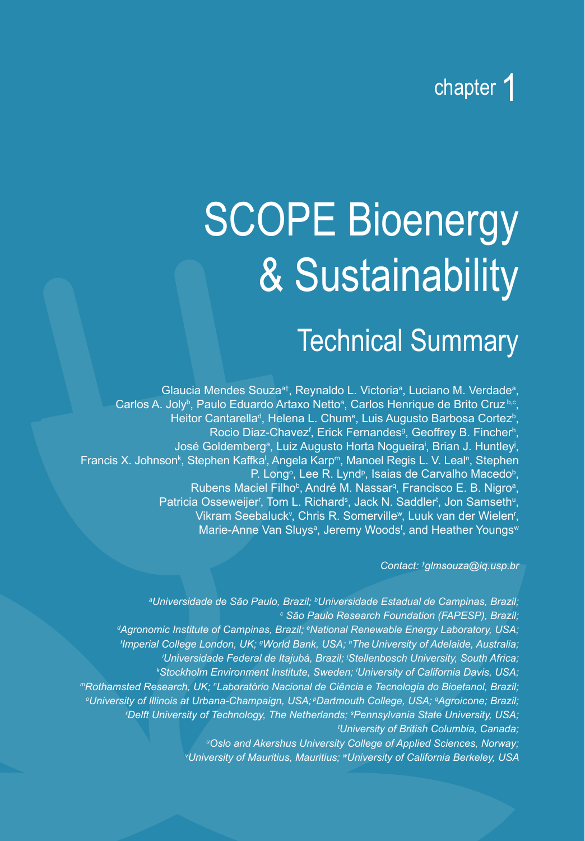### chapter 1

# SCOPE Bioenergy & Sustainability

### Technical Summary

Glaucia Mendes Souza<sup>a†</sup>, Reynaldo L. Victoria<sup>a</sup>, Luciano M. Verdade<sup>a</sup>, Carlos A. Joly<sup>b</sup>, Paulo Eduardo Artaxo Netto<sup>a</sup>, Carlos Henrique de Brito Cruz<sup>b.c</sup>, Heitor Cantarella<sup>d</sup>, Helena L. Chum<sup>e</sup>, Luis Augusto Barbosa Cortez<sup>b</sup>, Rocio Diaz-Chavez<sup>f</sup>, Erick Fernandes<sup>g</sup>, Geoffrey B. Fincher<sup>h</sup>, José Goldemberg<sup>a</sup>, Luiz Augusto Horta Nogueira<sup>i</sup>, Brian J. Huntley<sup>j</sup>, Francis X. Johnson<sup>k</sup>, Stephen Kaffka<sup>i</sup>, Angela Karp<sup>m</sup>, Manoel Regis L. V. Leal<sup>n</sup>, Stephen P. Long<sup>o</sup>, Lee R. Lynd<sup>p</sup>, Isaias de Carvalho Macedo<sup>b</sup>, Rubens Maciel Filho<sup>b</sup>, André M. Nassar<sup>q</sup>, Francisco E. B. Nigro<sup>a</sup>, Patricia Osseweijer<sup>r</sup>, Tom L. Richard<sup>s</sup>, Jack N. Saddler<sup>t</sup>, Jon Samseth<sup>u</sup>, Vikram Seebaluck<sup>v</sup>, Chris R. Somerville<sup>w</sup>, Luuk van der Wielen<sup>r</sup>, Marie-Anne Van Sluys<sup>a</sup>, Jeremy Woods<sup>f</sup>, and Heather Youngs<sup>w</sup>

*Contact: † glmsouza@iq.usp.br*

*a Universidade de São Paulo, Brazil; <sup>b</sup> Universidade Estadual de Campinas, Brazil; c São Paulo Research Foundation (FAPESP), Brazil; d Agronomic Institute of Campinas, Brazil; <sup>e</sup> National Renewable Energy Laboratory, USA; f Imperial College London, UK; g World Bank, USA; <sup>h</sup> The University of Adelaide, Australia; i Universidade Federal de Itajubá, Brazil; j Stellenbosch University, South Africa; k Stockholm Environment Institute, Sweden; <sup>l</sup> University of California Davis, USA; <sup>m</sup>Rothamsted Research, UK; <sup>n</sup> Laboratório Nacional de Ciência e Tecnologia do Bioetanol, Brazil; o University of Illinois at Urbana-Champaign, USA; pDartmouth College, USA; q Agroicone; Brazil; r Delft University of Technology, The Netherlands; <sup>s</sup> Pennsylvania State University, USA; t University of British Columbia, Canada; u Oslo and Akershus University College of Applied Sciences, Norway; v University of Mauritius, Mauritius; <sup>w</sup>University of California Berkeley, USA*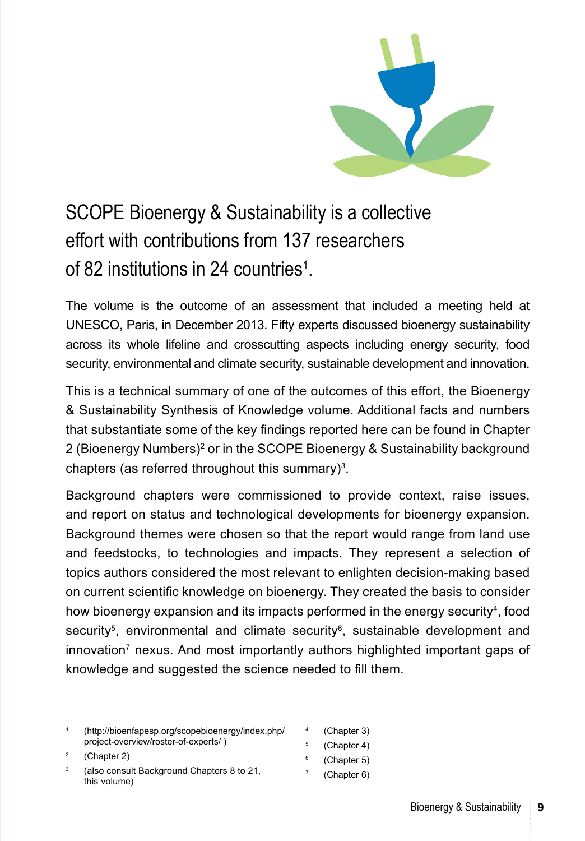

#### SCOPE Bioenergy & Sustainability is a collective effort with contributions from 137 researchers of 82 institutions in 24 countries<sup>1</sup>.

The volume is the outcome of an assessment that included a meeting held at UNESCO, Paris, in December 2013. Fifty experts discussed bioenergy sustainability across its whole lifeline and crosscutting aspects including energy security, food security, environmental and climate security, sustainable development and innovation.

This is a technical summary of one of the outcomes of this effort, the Bioenergy & Sustainability Synthesis of Knowledge volume. Additional facts and numbers that substantiate some of the key findings reported here can be found in [Chapter](#page--1-0)  [2](#page--1-0) (Bioenergy Numbers)<sup>2</sup> or in the SCOPE Bioenergy & Sustainability background chapters (as referred throughout this summary) $3$ .

Background chapters were commissioned to provide context, raise issues, and report on status and technological developments for bioenergy expansion. Background themes were chosen so that the report would range from land use and feedstocks, to technologies and impacts. They represent a selection of topics authors considered the most relevant to enlighten decision-making based on current scientific knowledge on bioenergy. They created the basis to consider how bioenergy expansion and its impacts performed in the energy security<sup>4</sup>, food security<sup>5</sup>, environmental and climate security<sup>6</sup>, sustainable development and innovation<sup>7</sup> nexus. And most importantly authors highlighted important gaps of knowledge and suggested the science needed to fill them.

- ([Chapter 3](#page--1-0))
- <sup>5</sup> ([Chapter 4](#page--1-0))
- $6$  ([Chapter 5](#page--1-0))
- <sup>7</sup> ([Chapter 6](#page--1-0))

<sup>1</sup> ([http://bioenfapesp.org/scopebioenergy/index.php/](http://bioenfapesp.org/scopebioenergy/index.php/project-overview/roster-of-experts) [project-overview/roster-](http://bioenfapesp.org/scopebioenergy/index.php/project-overview/roster-of-experts)of-experts/ )

<sup>(</sup>[Chapter 2](#page--1-0))

<sup>3</sup> (also consult Background [Chapters 8 to 21](#page--1-0), this volume)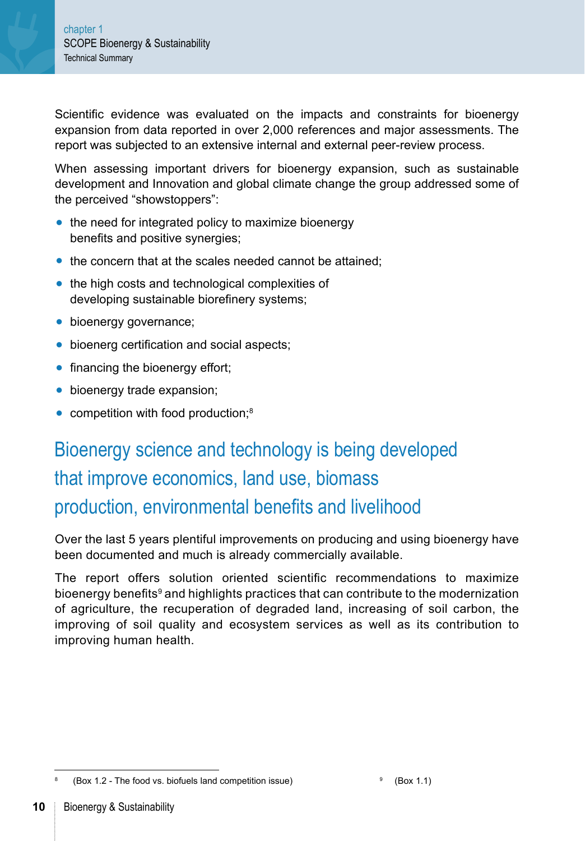Scientific evidence was evaluated on the impacts and constraints for bioenergy expansion from data reported in over 2,000 references and major assessments. The report was subjected to an extensive internal and external peer-review process.

When assessing important drivers for bioenergy expansion, such as sustainable development and Innovation and global climate change the group addressed some of the perceived "showstoppers":

- **●** [the need for integrated policy to maximize bioenergy](#page-9-0)  [benefits and positive synergies;](#page-9-0)
- **●** the concern that at the scales needed cannot be attained;
- **●** [the high costs and technological complexities of](#page-13-0)  [developing sustainable biorefinery systems;](#page-13-0)
- **●** [bioenergy governance;](#page-15-0)
- **●** [bioenerg certification and social aspects;](#page-16-0)
- **●** [financing the bioenergy effort;](#page-16-0)
- **●** [bioenergy trade expansion;](#page-17-0)
- **●** competition with food production;8

#### Bioenergy science and technology is being developed that improve economics, land use, biomass production, environmental benefits and livelihood

Over the last 5 years plentiful improvements on producing and using bioenergy have been documented and much is already commercially available.

The report offers solution oriented scientific recommendations to maximize bioenergy benefits<sup>9</sup> and highlights practices that can contribute to the modernization of agriculture, the recuperation of degraded land, increasing of soil carbon, the improving of soil quality and ecosystem services as well as its contribution to improving human health.

 $88 \times 1.2$  - The food vs. biofuels land competition issue) 9 ([Box 1.1](#page-3-0))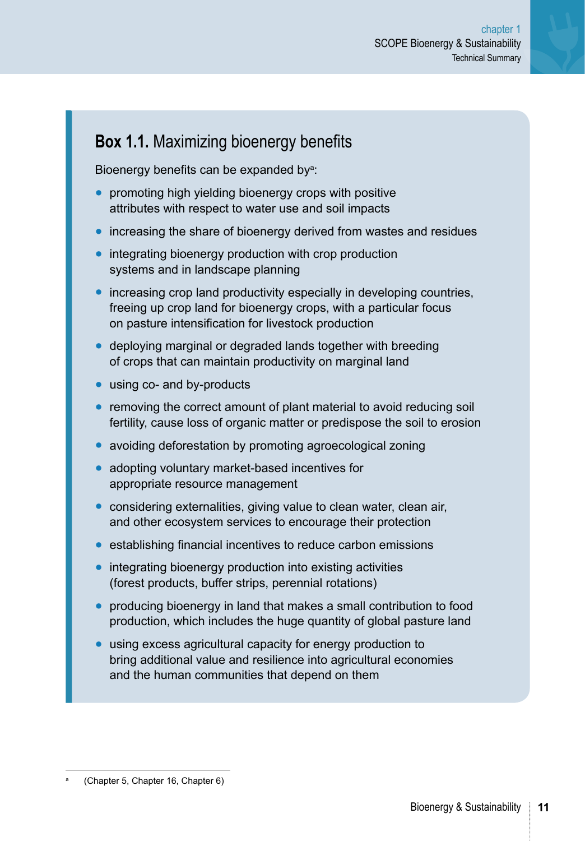#### <span id="page-3-0"></span>**Box 1.1.** Maximizing bioenergy benefits

Bioenergy benefits can be expanded by<sup>a</sup>:

- **●** promoting high yielding bioenergy crops with positive attributes with respect to water use and soil impacts
- **●** increasing the share of bioenergy derived from wastes and residues
- **●** integrating bioenergy production with crop production systems and in landscape planning
- **●** increasing crop land productivity especially in developing countries, freeing up crop land for bioenergy crops, with a particular focus on pasture intensification for livestock production
- **●** deploying marginal or degraded lands together with breeding of crops that can maintain productivity on marginal land
- **●** using co- and by-products
- **●** removing the correct amount of plant material to avoid reducing soil fertility, cause loss of organic matter or predispose the soil to erosion
- **●** avoiding deforestation by promoting agroecological zoning
- **●** adopting voluntary market-based incentives for appropriate resource management
- **●** considering externalities, giving value to clean water, clean air, and other ecosystem services to encourage their protection
- **●** establishing financial incentives to reduce carbon emissions
- **●** integrating bioenergy production into existing activities (forest products, buffer strips, perennial rotations)
- **●** producing bioenergy in land that makes a small contribution to food production, which includes the huge quantity of global pasture land
- **●** using excess agricultural capacity for energy production to bring additional value and resilience into agricultural economies and the human communities that depend on them

<sup>(</sup>[Chapter 5](#page--1-0), [Chapter 16,](#page--1-0) [Chapter 6](#page--1-0))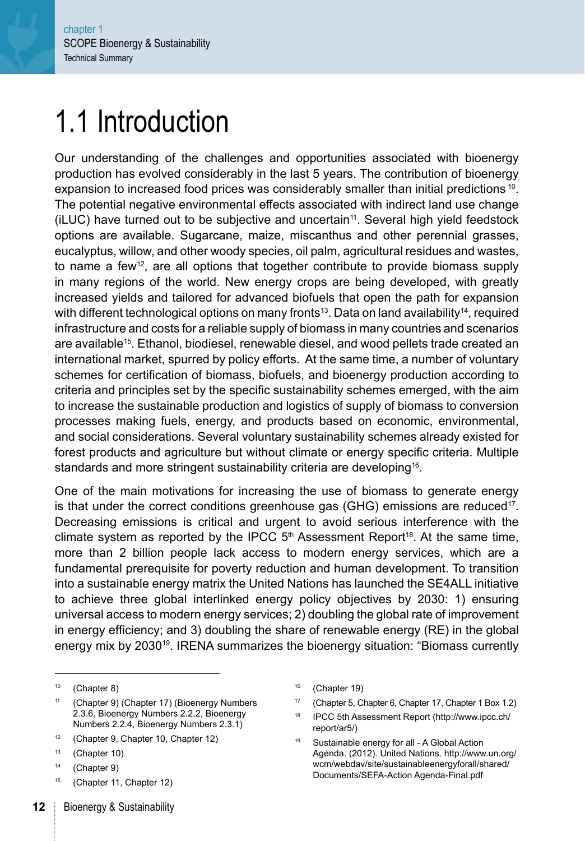### 1.1 Introduction

Our understanding of the challenges and opportunities associated with bioenergy production has evolved considerably in the last 5 years. The contribution of bioenergy expansion to increased food prices was considerably smaller than initial predictions <sup>10</sup>. The potential negative environmental effects associated with indirect land use change  $(iLUC)$  have turned out to be subjective and uncertain<sup>11</sup>. Several high yield feedstock options are available. Sugarcane, maize, miscanthus and other perennial grasses, eucalyptus, willow, and other woody species, oil palm, agricultural residues and wastes, to name a few<sup>12</sup>, are all options that together contribute to provide biomass supply in many regions of the world. New energy crops are being developed, with greatly increased yields and tailored for advanced biofuels that open the path for expansion with different technological options on many fronts<sup>13</sup>. Data on land availability<sup>14</sup>, required infrastructure and costs for a reliable supply of biomass in many countries and scenarios are available<sup>15</sup>. Ethanol, biodiesel, renewable diesel, and wood pellets trade created an international market, spurred by policy efforts. At the same time, a number of voluntary schemes for certification of biomass, biofuels, and bioenergy production according to criteria and principles set by the specific sustainability schemes emerged, with the aim to increase the sustainable production and logistics of supply of biomass to conversion processes making fuels, energy, and products based on economic, environmental, and social considerations. Several voluntary sustainability schemes already existed for forest products and agriculture but without climate or energy specific criteria. Multiple standards and more stringent sustainability criteria are developing<sup>16</sup>.

One of the main motivations for increasing the use of biomass to generate energy is that under the correct conditions greenhouse gas (GHG) emissions are reduced<sup>17</sup>. Decreasing emissions is critical and urgent to avoid serious interference with the climate system as reported by the IPCC  $5<sup>th</sup>$  Assessment Report<sup>18</sup>. At the same time, more than 2 billion people lack access to modern energy services, which are a fundamental prerequisite for poverty reduction and human development. To transition into a sustainable energy matrix the United Nations has launched the SE4ALL initiative to achieve three global interlinked energy policy objectives by 2030: 1) ensuring universal access to modern energy services; 2) doubling the global rate of improvement in energy efficiency; and 3) doubling the share of renewable energy (RE) in the global energy mix by 203019. IRENA summarizes the bioenergy situation: "Biomass currently

- <sup>11</sup> [\(Chapter 9\)](#page--1-0) [\(Chapter 17\)](#page--1-0) ([Bioenergy Numbers](#page--1-0)  [2.3.6](#page--1-0), [Bioenergy Numbers 2.2.2, Bioenergy](#page--1-0)  [Numbers 2.2.4, Bioenergy Numbers 2.3.1\)](#page--1-0)
- <sup>12</sup> [\(Chapter 9,](#page--1-0) [Chapter 10](#page--1-0), [Chapter 12\)](#page--1-0)
- <sup>13</sup> [\(Chapter 10\)](#page--1-0)
- <sup>14</sup> [\(Chapter 9\)](#page--1-0)
- <sup>15</sup> [\(Chapter 11](#page--1-0), [Chapter 12\)](#page--1-0)
- <sup>16</sup> [\(Chapter 19\)](#page--1-0)
- <sup>17</sup> [\(Chapter 5, Chapter 6, Chapter 17,](#page--1-0) [Chapter 1 Box 1.2](#page-10-0))
- <sup>18</sup> IPCC 5th Assessment Report [\(http://www.ipcc.ch/](http://www.ipcc.ch/report/ar5) [report/ar5](http://www.ipcc.ch/report/ar5)/)
- <sup>19</sup> Sustainable energy for all A Global Action Agenda. (2012). United Nations. [http://www.un.org/](http://www.un.org/wcm/webdav/site/sustainableenergyforall/shared/Documents/SEFA-Action Agenda-Final.pdf) [wcm/webdav/site/sustainableenergyforall/shared/](http://www.un.org/wcm/webdav/site/sustainableenergyforall/shared/Documents/SEFA-Action Agenda-Final.pdf) [Documents/SEFA-Action Agenda-Final.pdf](http://www.un.org/wcm/webdav/site/sustainableenergyforall/shared/Documents/SEFA-Action Agenda-Final.pdf)

<sup>10</sup> [\(Chapter 8\)](#page--1-0)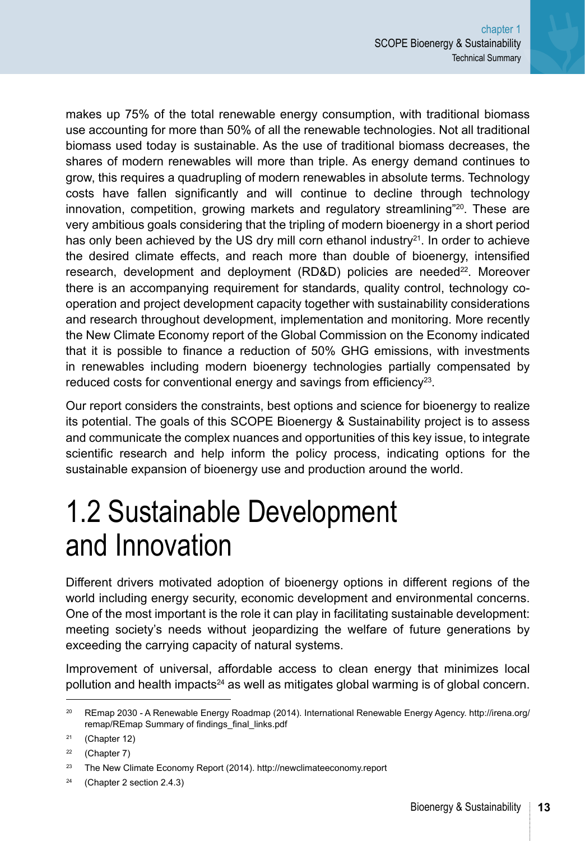makes up 75% of the total renewable energy consumption, with traditional biomass use accounting for more than 50% of all the renewable technologies. Not all traditional biomass used today is sustainable. As the use of traditional biomass decreases, the shares of modern renewables will more than triple. As energy demand continues to grow, this requires a quadrupling of modern renewables in absolute terms. Technology costs have fallen significantly and will continue to decline through technology innovation, competition, growing markets and regulatory streamlining"<sup>20</sup>. These are very ambitious goals considering that the tripling of modern bioenergy in a short period has only been achieved by the US dry mill corn ethanol industry $2^1$ . In order to achieve the desired climate effects, and reach more than double of bioenergy, intensified research, development and deployment (RD&D) policies are needed<sup>22</sup>. Moreover there is an accompanying requirement for standards, quality control, technology cooperation and project development capacity together with sustainability considerations and research throughout development, implementation and monitoring. More recently the New Climate Economy report of the Global Commission on the Economy indicated that it is possible to finance a reduction of 50% GHG emissions, with investments in renewables including modern bioenergy technologies partially compensated by reduced costs for conventional energy and savings from efficiency<sup>23</sup>.

Our report considers the constraints, best options and science for bioenergy to realize its potential. The goals of this SCOPE Bioenergy & Sustainability project is to assess and communicate the complex nuances and opportunities of this key issue, to integrate scientific research and help inform the policy process, indicating options for the sustainable expansion of bioenergy use and production around the world.

### 1.2 Sustainable Development and Innovation

Different drivers motivated adoption of bioenergy options in different regions of the world including energy security, economic development and environmental concerns. One of the most important is the role it can play in facilitating sustainable development: meeting society's needs without jeopardizing the welfare of future generations by exceeding the carrying capacity of natural systems.

Improvement of universal, affordable access to clean energy that minimizes local pollution and health impacts<sup>24</sup> as well as mitigates global warming is of global concern.

<sup>&</sup>lt;sup>20</sup> REmap 2030 - A Renewable Energy Roadmap (2014). International Renewable Energy Agency. [http://irena.org/](http://irena.org/remap/REmap Summary of findings_final_links.pdf) [remap/REmap Summary of findings\\_final\\_links.pdf](http://irena.org/remap/REmap Summary of findings_final_links.pdf)

 $21$  ([Chapter 12\)](#page--1-0)

 $22$  ([Chapter 7\)](#page--1-0)

<sup>23</sup> The New Climate Economy Report (2014). http://newclimateeconomy.report

<sup>24 (</sup>[Chapter 2 section 2.4.3](#page--1-0))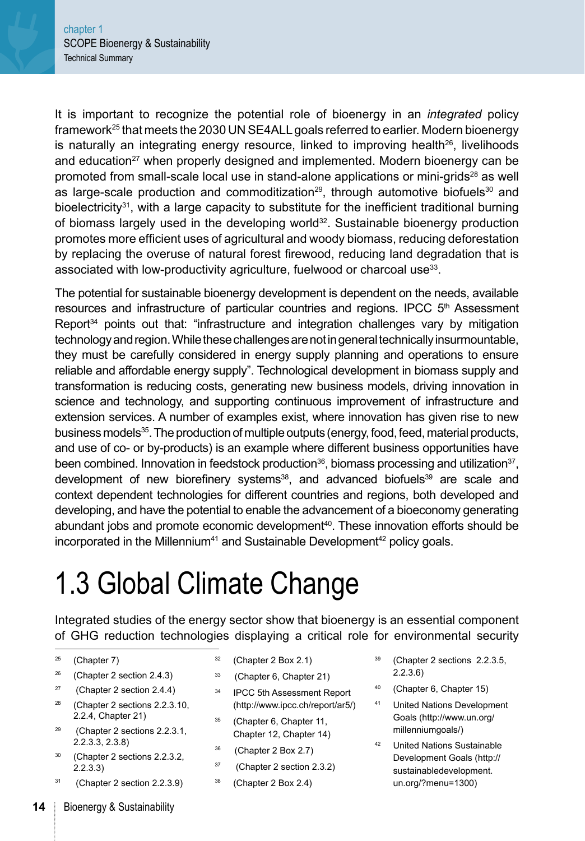It is important to recognize the potential role of bioenergy in an *integrated* policy framework<sup>25</sup> that meets the 2030 UN SE4ALL goals referred to earlier. Modern bioenergy is naturally an integrating energy resource, linked to improving health<sup>26</sup>, livelihoods and education<sup>27</sup> when properly designed and implemented. Modern bioenergy can be promoted from small-scale local use in stand-alone applications or mini-grids<sup>28</sup> as well as large-scale production and commoditization<sup>29</sup>, through automotive biofuels<sup>30</sup> and bioelectricity<sup>31</sup>, with a large capacity to substitute for the inefficient traditional burning of biomass largely used in the developing world $32$ . Sustainable bioenergy production promotes more efficient uses of agricultural and woody biomass, reducing deforestation by replacing the overuse of natural forest firewood, reducing land degradation that is associated with low-productivity agriculture, fuelwood or charcoal use<sup>33</sup>.

The potential for sustainable bioenergy development is dependent on the needs, available resources and infrastructure of particular countries and regions. IPCC 5<sup>th</sup> Assessment Report<sup>34</sup> points out that: "infrastructure and integration challenges vary by mitigation technology and region. While these challenges are not in general technically insurmountable, they must be carefully considered in energy supply planning and operations to ensure reliable and affordable energy supply". Technological development in biomass supply and transformation is reducing costs, generating new business models, driving innovation in science and technology, and supporting continuous improvement of infrastructure and extension services. A number of examples exist, where innovation has given rise to new business models<sup>35</sup>. The production of multiple outputs (energy, food, feed, material products, and use of co- or by-products) is an example where different business opportunities have been combined. Innovation in feedstock production $36$ , biomass processing and utilization $37$ , development of new biorefinery systems<sup>38</sup>, and advanced biofuels<sup>39</sup> are scale and context dependent technologies for different countries and regions, both developed and developing, and have the potential to enable the advancement of a bioeconomy generating abundant jobs and promote economic development<sup>40</sup>. These innovation efforts should be incorporated in the Millennium<sup>41</sup> and Sustainable Development<sup>42</sup> policy goals.

## 1.3 Global Climate Change

Integrated studies of the energy sector show that bioenergy is an essential component of GHG reduction technologies displaying a critical role for environmental security

- $25$  [\(Chapter 7](#page--1-0))
- <sup>26</sup> [\(Chapter 2 section 2.4.3\)](#page--1-0)
- 27 [\(Chapter 2 section 2.4.4\)](#page--1-0)
- <sup>28</sup> (Chapter 2 sections 2.2.3.10, 2.2.4, [Chapter 21](#page--1-0))
- 29 (Chapter 2 sections [2.2.3.1,](#page--1-0) [2.2.3.3](#page--1-0), [2.3.8\)](#page--1-0)
- <sup>30</sup> [\(Chapter 2 sections 2.2.3.2,](#page--1-0)  [2.2.3.3](#page--1-0))
- 31 [\(Chapter 2 section 2.2.3.9](#page--1-0))
- $32$  [\(Chapter 2 Box 2.1\)](#page--1-0)
- <sup>33</sup> [\(Chapter 6](#page--1-0), [Chapter 21\)](#page--1-0)
- <sup>34</sup> IPCC 5th Assessment Report (http://www.ipcc.ch/report/ar5/)
- <sup>35</sup> [\(Chapter 6](#page--1-0), [Chapter 11](#page--1-0), [Chapter 12, Chapter 14](#page--1-0))
- <sup>36</sup> [\(Chapter 2 Box 2.7\)](#page--1-0)
- 37 [\(Chapter 2 section 2.3.2\)](#page--1-0)
- <sup>38</sup> [\(Chapter 2 Box 2.4\)](#page--1-0)
- <sup>39</sup> (Chapter 2 sections [2.2.3.5,](#page--1-0) [2.2.3.6](#page--1-0))
- <sup>40</sup> [\(Chapter 6](#page--1-0), [Chapter 15\)](#page--1-0)
- <sup>41</sup> United Nations Development Goals (http://www.un.org/ millenniumgoals/)
- <sup>42</sup> United Nations Sustainable Development Goals (http:// sustainabledevelopment. un.org/?menu=1300)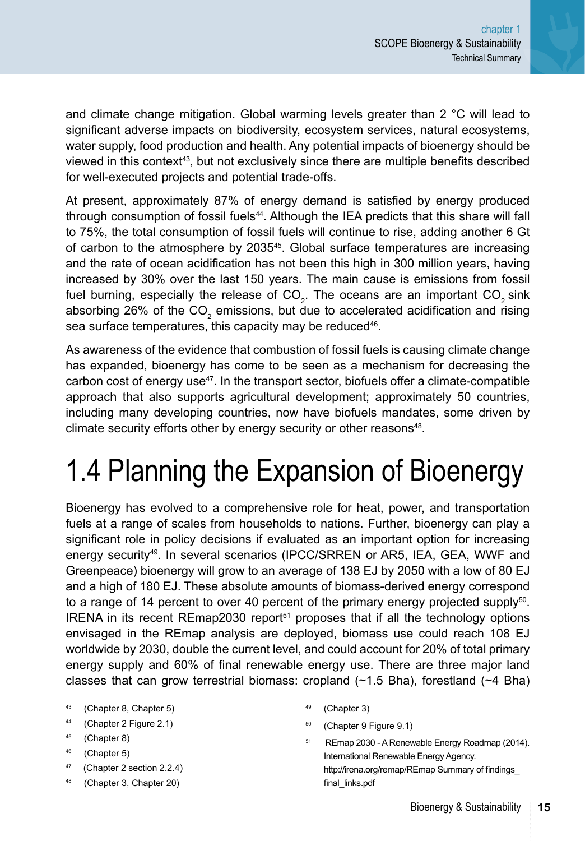and climate change mitigation. Global warming levels greater than 2 °C will lead to significant adverse impacts on biodiversity, ecosystem services, natural ecosystems, water supply, food production and health. Any potential impacts of bioenergy should be viewed in this context43, but not exclusively since there are multiple benefits described for well-executed projects and potential trade-offs.

At present, approximately 87% of energy demand is satisfied by energy produced through consumption of fossil fuels<sup>44</sup>. Although the IEA predicts that this share will fall to 75%, the total consumption of fossil fuels will continue to rise, adding another 6 Gt of carbon to the atmosphere by 203545. Global surface temperatures are increasing and the rate of ocean acidification has not been this high in 300 million years, having increased by 30% over the last 150 years. The main cause is emissions from fossil fuel burning, especially the release of CO<sub>2</sub>. The oceans are an important CO<sub>2</sub> sink absorbing 26% of the CO<sub>2</sub> emissions, but due to accelerated acidification and rising sea surface temperatures, this capacity may be reduced<sup>46</sup>.

As awareness of the evidence that combustion of fossil fuels is causing climate change has expanded, bioenergy has come to be seen as a mechanism for decreasing the carbon cost of energy use $47$ . In the transport sector, biofuels offer a climate-compatible approach that also supports agricultural development; approximately 50 countries, including many developing countries, now have biofuels mandates, some driven by climate security efforts other by energy security or other reasons<sup>48</sup>.

# 1.4 Planning the Expansion of Bioenergy

Bioenergy has evolved to a comprehensive role for heat, power, and transportation fuels at a range of scales from households to nations. Further, bioenergy can play a significant role in policy decisions if evaluated as an important option for increasing energy security<sup>49</sup>. In several scenarios (IPCC/SRREN or AR5, IEA, GEA, WWF and Greenpeace) bioenergy will grow to an average of 138 EJ by 2050 with a low of 80 EJ and a high of 180 EJ. These absolute amounts of biomass-derived energy correspond to a range of 14 percent to over 40 percent of the primary energy projected supply $50$ . IRENA in its recent REmap2030 report $51$  proposes that if all the technology options envisaged in the REmap analysis are deployed, biomass use could reach 108 EJ worldwide by 2030, double the current level, and could account for 20% of total primary energy supply and 60% of final renewable energy use. There are three major land classes that can grow terrestrial biomass: cropland  $(-1.5$  Bha), forestland  $(-4)$  Bha)

- <sup>45</sup> ([Chapter 8](#page--1-0))
- <sup>46</sup> ([Chapter 5](#page--1-0))
- 47 [\(Chapter 2 section 2.2.4](#page--1-0))
- <sup>48</sup> ([Chapter 3](#page--1-0), [Chapter 20\)](#page--1-0)
- 49 ([Chapter 3](#page--1-0))
- <sup>50</sup> ([Chapter 9 Figure 9.1\)](#page--1-0)

<sup>43 (</sup>[Chapter 8](#page--1-0), [Chapter 5\)](#page--1-0)

<sup>44</sup> ([Chapter 2 Figure 2.1\)](#page--1-0)

<sup>51</sup> REmap 2030 - A Renewable Energy Roadmap (2014). International Renewable Energy Agency. [http://irena.org/remap/REmap Summary of findings\\_](http://irena.org/remap/REmap%20Summary%20of%20findings_final_links.pdf) [final\\_links.pdf](http://irena.org/remap/REmap%20Summary%20of%20findings_final_links.pdf)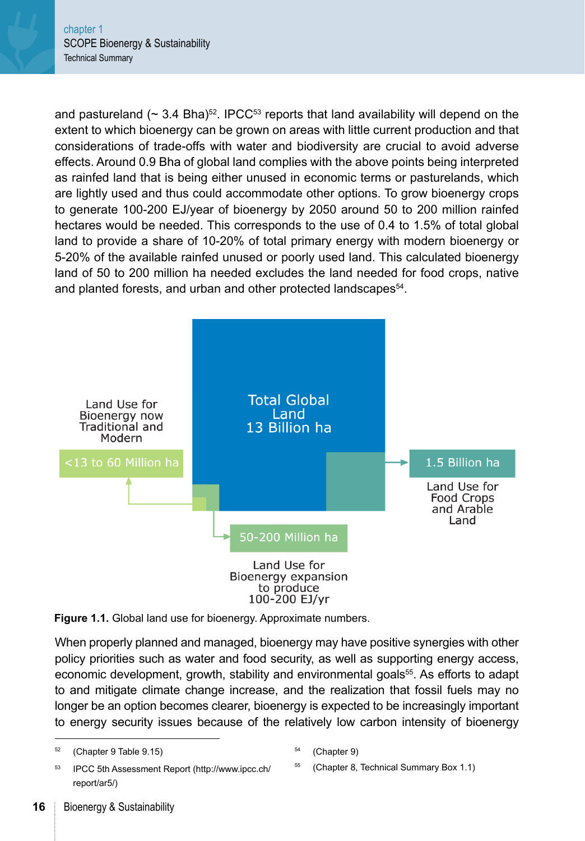and pastureland ( $\sim$  3.4 Bha)<sup>52</sup>. IPCC<sup>53</sup> reports that land availability will depend on the extent to which bioenergy can be grown on areas with little current production and that considerations of trade-offs with water and biodiversity are crucial to avoid adverse effects. Around 0.9 Bha of global land complies with the above points being interpreted as rainfed land that is being either unused in economic terms or pasturelands, which are lightly used and thus could accommodate other options. To grow bioenergy crops to generate 100-200 EJ/year of bioenergy by 2050 around 50 to 200 million rainfed hectares would be needed. This corresponds to the use of 0.4 to 1.5% of total global land to provide a share of 10-20% of total primary energy with modern bioenergy or 5-20% of the available rainfed unused or poorly used land. This calculated bioenergy land of 50 to 200 million ha needed excludes the land needed for food crops, native and planted forests, and urban and other protected landscapes<sup>54</sup>.





When properly planned and managed, bioenergy may have positive synergies with other policy priorities such as water and food security, as well as supporting energy access, economic development, growth, stability and environmental goals<sup>55</sup>. As efforts to adapt to and mitigate climate change increase, and the realization that fossil fuels may no longer be an option becomes clearer, bioenergy is expected to be increasingly important to energy security issues because of the relatively low carbon intensity of bioenergy

<sup>55</sup> [\(Chapter 8,](#page--1-0) [Technical Summary Box 1.1](#page-3-0))

<sup>52</sup> [\(Chapter 9 Table 9.15\)](#page--1-0)

<sup>53</sup> IPCC 5th Assessment Report (http://www.ipcc.ch/ report/ar5/)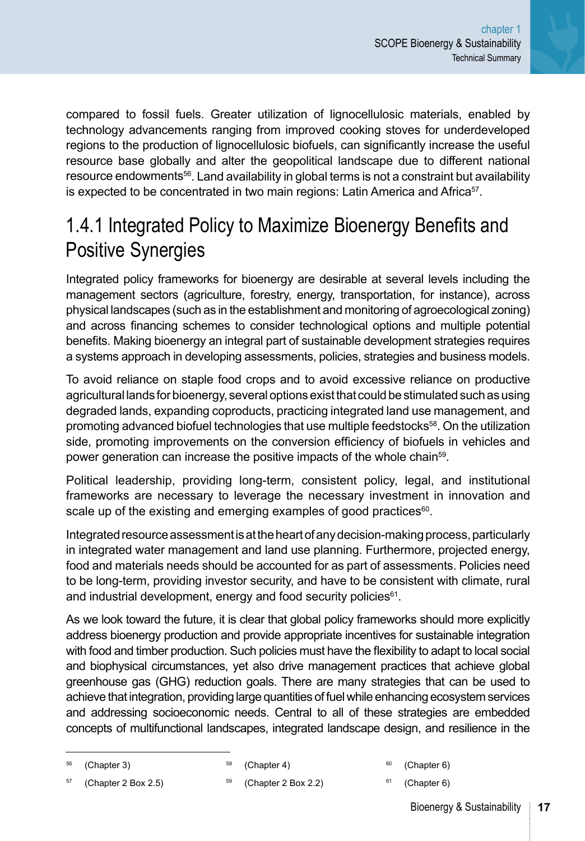<span id="page-9-0"></span>compared to fossil fuels. Greater utilization of lignocellulosic materials, enabled by technology advancements ranging from improved cooking stoves for underdeveloped regions to the production of lignocellulosic biofuels, can significantly increase the useful resource base globally and alter the geopolitical landscape due to different national resource endowments<sup>56</sup>. Land availability in global terms is not a constraint but availability is expected to be concentrated in two main regions: Latin America and Africa<sup>57</sup>.

#### 1.4.1 Integrated Policy to Maximize Bioenergy Benefits and Positive Synergies

Integrated policy frameworks for bioenergy are desirable at several levels including the management sectors (agriculture, forestry, energy, transportation, for instance), across physical landscapes (such as in the establishment and monitoring of agroecological zoning) and across financing schemes to consider technological options and multiple potential benefits. Making bioenergy an integral part of sustainable development strategies requires a systems approach in developing assessments, policies, strategies and business models.

To avoid reliance on staple food crops and to avoid excessive reliance on productive agricultural lands for bioenergy, several options exist that could be stimulated such as using degraded lands, expanding coproducts, practicing integrated land use management, and promoting advanced biofuel technologies that use multiple feedstocks<sup>58</sup>. On the utilization side, promoting improvements on the conversion efficiency of biofuels in vehicles and power generation can increase the positive impacts of the whole chain<sup>59</sup>.

Political leadership, providing long-term, consistent policy, legal, and institutional frameworks are necessary to leverage the necessary investment in innovation and scale up of the existing and emerging examples of good practices $60$ .

Integrated resource assessment is at the heart of any decision-making process, particularly in integrated water management and land use planning. Furthermore, projected energy, food and materials needs should be accounted for as part of assessments. Policies need to be long-term, providing investor security, and have to be consistent with climate, rural and industrial development, energy and food security policies<sup>61</sup>.

As we look toward the future, it is clear that global policy frameworks should more explicitly address bioenergy production and provide appropriate incentives for sustainable integration with food and timber production. Such policies must have the flexibility to adapt to local social and biophysical circumstances, yet also drive management practices that achieve global greenhouse gas (GHG) reduction goals. There are many strategies that can be used to achieve that integration, providing large quantities of fuel while enhancing ecosystem services and addressing socioeconomic needs. Central to all of these strategies are embedded concepts of multifunctional landscapes, integrated landscape design, and resilience in the

```
58 (Chapter 4)
```

```
60Chapter 6)
61Chapter 6)
```
- $57$  ([Chapter 2 Box 2.5](#page--1-0))
- <sup>59</sup> ([Chapter 2 Box 2.2](#page--1-0))
- Bioenergy & Sustainability

<sup>56</sup> ([Chapter 3\)](#page--1-0)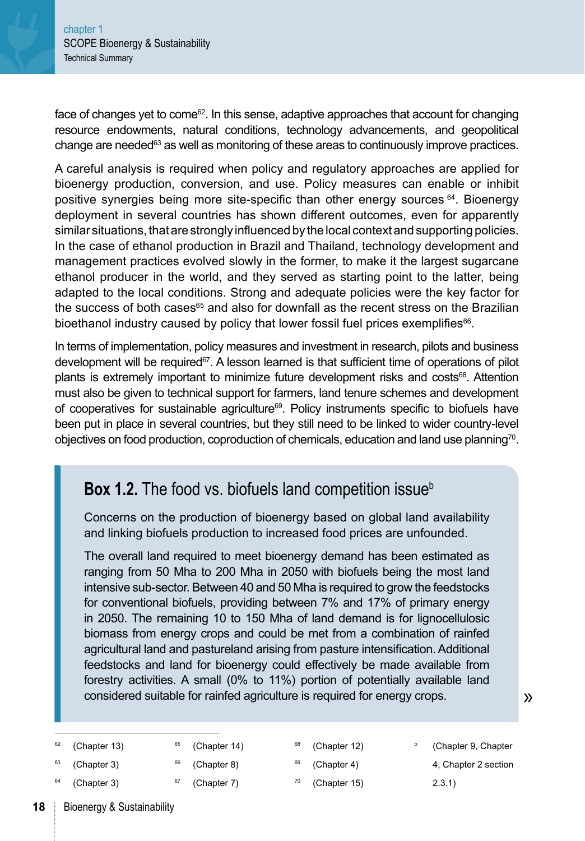<span id="page-10-0"></span>face of changes yet to come<sup>62</sup>. In this sense, adaptive approaches that account for changing resource endowments, natural conditions, technology advancements, and geopolitical change are needed<sup>63</sup> as well as monitoring of these areas to continuously improve practices.

A careful analysis is required when policy and regulatory approaches are applied for bioenergy production, conversion, and use. Policy measures can enable or inhibit positive synergies being more site-specific than other energy sources 64. Bioenergy deployment in several countries has shown different outcomes, even for apparently similar situations, that are strongly influenced by the local context and supporting policies. In the case of ethanol production in Brazil and Thailand, technology development and management practices evolved slowly in the former, to make it the largest sugarcane ethanol producer in the world, and they served as starting point to the latter, being adapted to the local conditions. Strong and adequate policies were the key factor for the success of both cases<sup>65</sup> and also for downfall as the recent stress on the Brazilian bioethanol industry caused by policy that lower fossil fuel prices exemplifies<sup>66</sup>.

In terms of implementation, policy measures and investment in research, pilots and business development will be required<sup>67</sup>. A lesson learned is that sufficient time of operations of pilot plants is extremely important to minimize future development risks and costs<sup>68</sup>. Attention must also be given to technical support for farmers, land tenure schemes and development of cooperatives for sustainable agriculture $69$ . Policy instruments specific to biofuels have been put in place in several countries, but they still need to be linked to wider country-level objectives on food production, coproduction of chemicals, education and land use planning70.

#### **Box 1.2.** The food vs. biofuels land competition issue<sup>b</sup>

Concerns on the production of bioenergy based on global land availability and linking biofuels production to increased food prices are unfounded.

The overall land required to meet bioenergy demand has been estimated as ranging from 50 Mha to 200 Mha in 2050 with biofuels being the most land intensive sub-sector. Between 40 and 50 Mha is required to grow the feedstocks for conventional biofuels, providing between 7% and 17% of primary energy in 2050. The remaining 10 to 150 Mha of land demand is for lignocellulosic biomass from energy crops and could be met from a combination of rainfed agricultural land and pastureland arising from pasture intensification. Additional feedstocks and land for bioenergy could effectively be made available from forestry activities. A small (0% to 11%) portion of potentially available land considered suitable for rainfed agriculture is required for energy crops.

| 62 | (Chapter 13) | 65 | (Chapter 14) | 68 | (Chapter 12) | (Chapter 9, Chapter  |
|----|--------------|----|--------------|----|--------------|----------------------|
| 63 | (Chapter 3)  | 66 | (Chapter 8)  | 69 | (Chapter 4)  | 4, Chapter 2 section |
| 64 | (Chapter 3)  |    | (Chapter 7)  | 70 | (Chapter 15) | 2.3.1)               |

»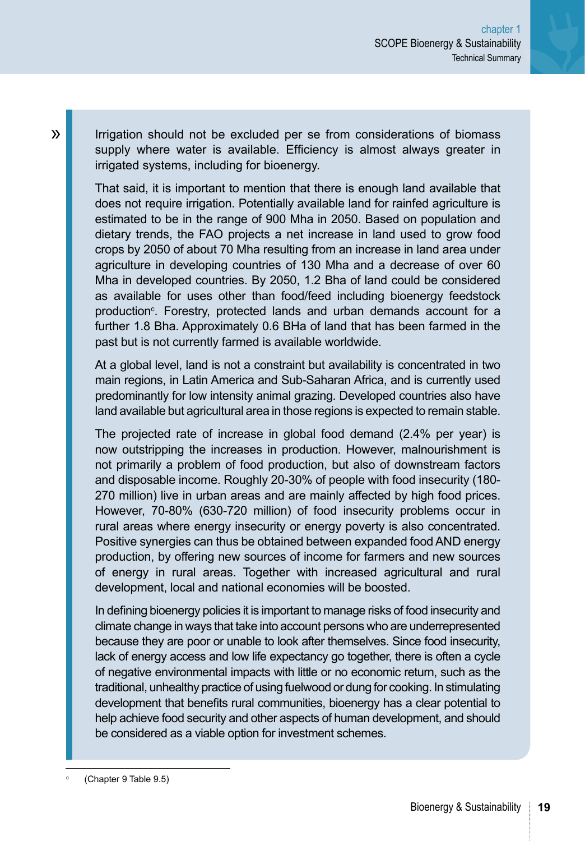Irrigation should not be excluded per se from considerations of biomass supply where water is available. Efficiency is almost always greater in irrigated systems, including for bioenergy.

That said, it is important to mention that there is enough land available that does not require irrigation. Potentially available land for rainfed agriculture is estimated to be in the range of 900 Mha in 2050. Based on population and dietary trends, the FAO projects a net increase in land used to grow food crops by 2050 of about 70 Mha resulting from an increase in land area under agriculture in developing countries of 130 Mha and a decrease of over 60 Mha in developed countries. By 2050, 1.2 Bha of land could be considered as available for uses other than food/feed including bioenergy feedstock production<sup>c</sup>. Forestry, protected lands and urban demands account for a further 1.8 Bha. Approximately 0.6 BHa of land that has been farmed in the past but is not currently farmed is available worldwide.

At a global level, land is not a constraint but availability is concentrated in two main regions, in Latin America and Sub-Saharan Africa, and is currently used predominantly for low intensity animal grazing. Developed countries also have land available but agricultural area in those regions is expected to remain stable.

The projected rate of increase in global food demand (2.4% per year) is now outstripping the increases in production. However, malnourishment is not primarily a problem of food production, but also of downstream factors and disposable income. Roughly 20-30% of people with food insecurity (180- 270 million) live in urban areas and are mainly affected by high food prices. However, 70-80% (630-720 million) of food insecurity problems occur in rural areas where energy insecurity or energy poverty is also concentrated. Positive synergies can thus be obtained between expanded food AND energy production, by offering new sources of income for farmers and new sources of energy in rural areas. Together with increased agricultural and rural development, local and national economies will be boosted.

In defining bioenergy policies it is important to manage risks of food insecurity and climate change in ways that take into account persons who are underrepresented because they are poor or unable to look after themselves. Since food insecurity, lack of energy access and low life expectancy go together, there is often a cycle of negative environmental impacts with little or no economic return, such as the traditional, unhealthy practice of using fuelwood or dung for cooking. In stimulating development that benefits rural communities, bioenergy has a clear potential to help achieve food security and other aspects of human development, and should be considered as a viable option for investment schemes.

<sup>c</sup> ([Chapter 9 Table 9.5\)](#page--1-0)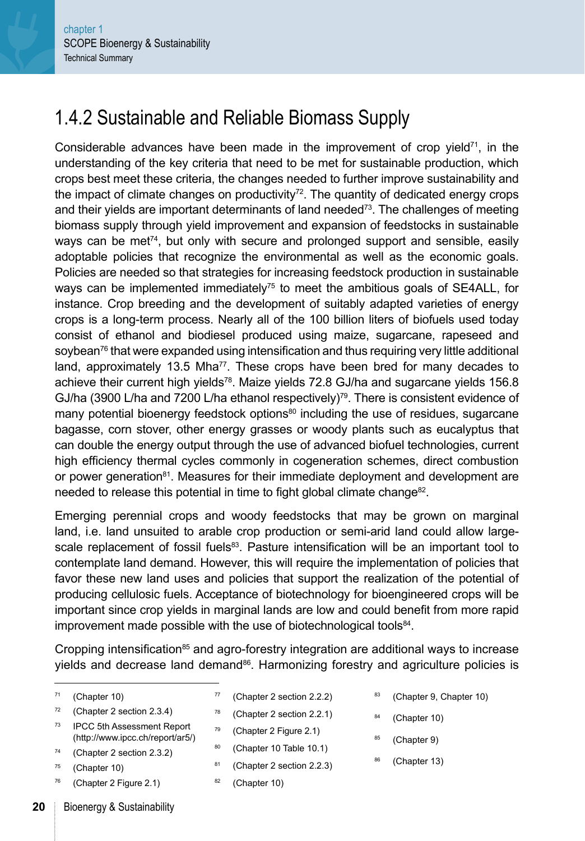#### 1.4.2 Sustainable and Reliable Biomass Supply

Considerable advances have been made in the improvement of crop yield<sup>71</sup>, in the understanding of the key criteria that need to be met for sustainable production, which crops best meet these criteria, the changes needed to further improve sustainability and the impact of climate changes on productivity<sup>72</sup>. The quantity of dedicated energy crops and their yields are important determinants of land needed<sup>73</sup>. The challenges of meeting biomass supply through yield improvement and expansion of feedstocks in sustainable ways can be met<sup> $74$ </sup>, but only with secure and prolonged support and sensible, easily adoptable policies that recognize the environmental as well as the economic goals. Policies are needed so that strategies for increasing feedstock production in sustainable ways can be implemented immediately<sup>75</sup> to meet the ambitious goals of SE4ALL, for instance. Crop breeding and the development of suitably adapted varieties of energy crops is a long-term process. Nearly all of the 100 billion liters of biofuels used today consist of ethanol and biodiesel produced using maize, sugarcane, rapeseed and soybean<sup>76</sup> that were expanded using intensification and thus requiring very little additional land, approximately 13.5 Mha<sup>77</sup>. These crops have been bred for many decades to achieve their current high yields<sup>78</sup>. Maize yields 72.8 GJ/ha and sugarcane yields 156.8 GJ/ha (3900 L/ha and 7200 L/ha ethanol respectively)<sup>79</sup>. There is consistent evidence of many potential bioenergy feedstock options $80$  including the use of residues, sugarcane bagasse, corn stover, other energy grasses or woody plants such as eucalyptus that can double the energy output through the use of advanced biofuel technologies, current high efficiency thermal cycles commonly in cogeneration schemes, direct combustion or power generation<sup>81</sup>. Measures for their immediate deployment and development are needed to release this potential in time to fight global climate change<sup>82</sup>.

Emerging perennial crops and woody feedstocks that may be grown on marginal land, i.e. land unsuited to arable crop production or semi-arid land could allow largescale replacement of fossil fuels<sup>83</sup>. Pasture intensification will be an important tool to contemplate land demand. However, this will require the implementation of policies that favor these new land uses and policies that support the realization of the potential of producing cellulosic fuels. Acceptance of biotechnology for bioengineered crops will be important since crop yields in marginal lands are low and could benefit from more rapid improvement made possible with the use of biotechnological tools<sup>84</sup>.

Cropping intensification $85$  and agro-forestry integration are additional ways to increase yields and decrease land demand $86$ . Harmonizing forestry and agriculture policies is

| -71 | (Chapter 10) |  |
|-----|--------------|--|
|-----|--------------|--|

- <sup>77</sup> [\(Chapter 2 section 2.2.2](#page--1-0))
- <sup>78</sup> [\(Chapter 2 section 2.2.1](#page--1-0))
- <sup>73</sup> IPCC 5th Assessment Report (http://www.ipcc.ch/report/ar5/)
- <sup>74</sup> [\(Chapter 2 section 2.3.2](#page--1-0))

<sup>72</sup> [\(Chapter 2 section 2.3.4](#page--1-0))

- $75$  [\(Chapter 10\)](#page--1-0)
- <sup>76</sup> [\(Chapter 2 Figure 2.1\)](#page--1-0)
- 
- 
- <sup>79</sup> [\(Chapter 2 Figure 2.1\)](#page--1-0)
- 80 [\(Chapter 10 Table 10.1\)](#page--1-0)
- 81 [\(Chapter 2 section 2.2.3](#page--1-0))
- $82$  [\(Chapter 10\)](#page--1-0)
- <sup>83</sup> [\(Chapter 9,](#page--1-0) [Chapter 10](#page--1-0))
- $84$  [\(Chapter 10\)](#page--1-0)
- 85 [\(Chapter 9\)](#page--1-0)
- 86 [\(Chapter 13\)](#page--1-0)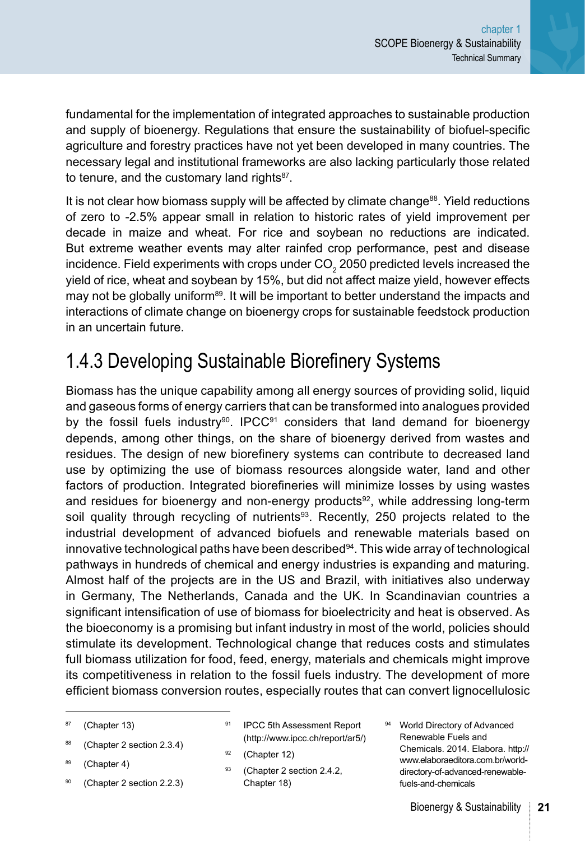<span id="page-13-0"></span>fundamental for the implementation of integrated approaches to sustainable production and supply of bioenergy. Regulations that ensure the sustainability of biofuel-specific agriculture and forestry practices have not yet been developed in many countries. The necessary legal and institutional frameworks are also lacking particularly those related to tenure, and the customary land rights<sup>87</sup>.

It is not clear how biomass supply will be affected by climate change<sup>88</sup>. Yield reductions of zero to -2.5% appear small in relation to historic rates of yield improvement per decade in maize and wheat. For rice and soybean no reductions are indicated. But extreme weather events may alter rainfed crop performance, pest and disease incidence. Field experiments with crops under CO $_{\tiny 2}$  2050 predicted levels increased the yield of rice, wheat and soybean by 15%, but did not affect maize yield, however effects may not be globally uniform<sup>89</sup>. It will be important to better understand the impacts and interactions of climate change on bioenergy crops for sustainable feedstock production in an uncertain future.

#### 1.4.3 Developing Sustainable Biorefinery Systems

Biomass has the unique capability among all energy sources of providing solid, liquid and gaseous forms of energy carriers that can be transformed into analogues provided by the fossil fuels industry<sup>90</sup>. IPCC<sup>91</sup> considers that land demand for bioenergy depends, among other things, on the share of bioenergy derived from wastes and residues. The design of new biorefinery systems can contribute to decreased land use by optimizing the use of biomass resources alongside water, land and other factors of production. Integrated biorefineries will minimize losses by using wastes and residues for bioenergy and non-energy products $92$ , while addressing long-term soil quality through recycling of nutrients $93$ . Recently, 250 projects related to the industrial development of advanced biofuels and renewable materials based on innovative technological paths have been described $94$ . This wide array of technological pathways in hundreds of chemical and energy industries is expanding and maturing. Almost half of the projects are in the US and Brazil, with initiatives also underway in Germany, The Netherlands, Canada and the UK. In Scandinavian countries a significant intensification of use of biomass for bioelectricity and heat is observed. As the bioeconomy is a promising but infant industry in most of the world, policies should stimulate its development. Technological change that reduces costs and stimulates full biomass utilization for food, feed, energy, materials and chemicals might improve its competitiveness in relation to the fossil fuels industry. The development of more efficient biomass conversion routes, especially routes that can convert lignocellulosic

- <sup>87</sup> [\(Chapter 13\)](#page--1-0)
- <sup>88</sup> [\(Chapter 2 section 2.3.4\)](#page--1-0)
- 89 [\(Chapter 4](#page--1-0))
- <sup>90</sup> [\(Chapter 2 section 2.2.3\)](#page--1-0)
- 91 IPCC 5th Assessment Report (http://www.ipcc.ch/report/ar5/)
- $92$  [\(Chapter 12\)](#page--1-0)
- 93 [\(Chapter 2 section 2.4.2,](#page--1-0) [Chapter 18\)](#page--1-0)
- 94 World Directory of Advanced Renewable Fuels and Chemicals. 2014. Elabora. http:// www.elaboraeditora.com.br/worlddirectory-of-advanced-renewablefuels-and-chemicals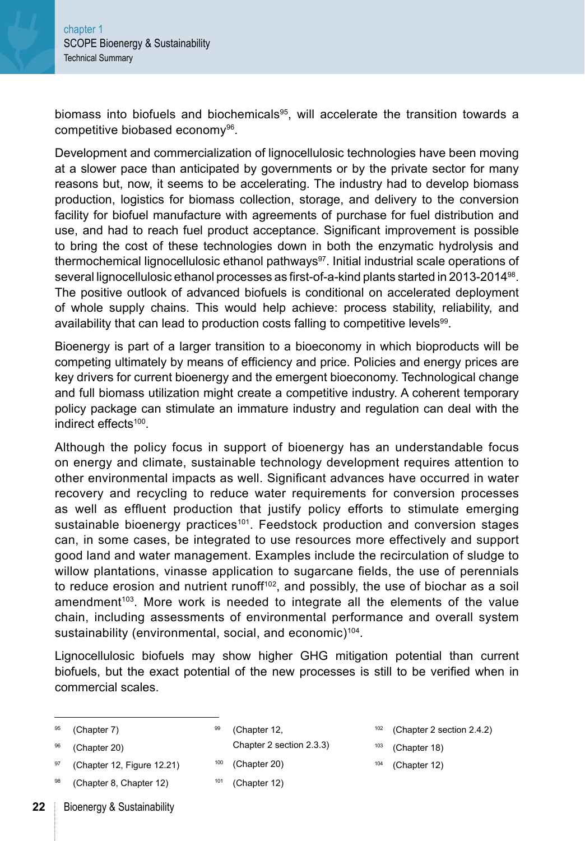biomass into biofuels and biochemicals<sup>95</sup>, will accelerate the transition towards a competitive biobased economy<sup>96</sup>.

Development and commercialization of lignocellulosic technologies have been moving at a slower pace than anticipated by governments or by the private sector for many reasons but, now, it seems to be accelerating. The industry had to develop biomass production, logistics for biomass collection, storage, and delivery to the conversion facility for biofuel manufacture with agreements of purchase for fuel distribution and use, and had to reach fuel product acceptance. Significant improvement is possible to bring the cost of these technologies down in both the enzymatic hydrolysis and thermochemical lignocellulosic ethanol pathways97. Initial industrial scale operations of several lignocellulosic ethanol processes as first-of-a-kind plants started in 2013-201498. The positive outlook of advanced biofuels is conditional on accelerated deployment of whole supply chains. This would help achieve: process stability, reliability, and availability that can lead to production costs falling to competitive levels<sup>99</sup>.

Bioenergy is part of a larger transition to a bioeconomy in which bioproducts will be competing ultimately by means of efficiency and price. Policies and energy prices are key drivers for current bioenergy and the emergent bioeconomy. Technological change and full biomass utilization might create a competitive industry. A coherent temporary policy package can stimulate an immature industry and regulation can deal with the indirect effects100.

Although the policy focus in support of bioenergy has an understandable focus on energy and climate, sustainable technology development requires attention to other environmental impacts as well. Significant advances have occurred in water recovery and recycling to reduce water requirements for conversion processes as well as effluent production that justify policy efforts to stimulate emerging sustainable bioenergy practices<sup>101</sup>. Feedstock production and conversion stages can, in some cases, be integrated to use resources more effectively and support good land and water management. Examples include the recirculation of sludge to willow plantations, vinasse application to sugarcane fields, the use of perennials to reduce erosion and nutrient runoff $102$ , and possibly, the use of biochar as a soil amendment $103$ . More work is needed to integrate all the elements of the value chain, including assessments of environmental performance and overall system sustainability (environmental, social, and economic)<sup>104</sup>.

Lignocellulosic biofuels may show higher GHG mitigation potential than current biofuels, but the exact potential of the new processes is still to be verified when in commercial scales.

99 [\(Chapter 12,](#page--1-0)

[Chapter 2 section 2.3.3](#page--1-0))

- $100$  [\(Chapter 20\)](#page--1-0)
	- $101$  [\(Chapter 12\)](#page--1-0)
- <sup>102</sup> [\(Chapter 2 section 2.4.2](#page--1-0))
- $103$  [\(Chapter 18\)](#page--1-0)
- <sup>104</sup> [\(Chapter 12\)](#page--1-0)

97 [\(Chapter 12,](#page--1-0) [Figure 12.21\)](#page--1-0) [\(Chapter 8,](#page--1-0) [Chapter 12](#page--1-0))

<sup>95</sup> [\(Chapter 7\)](#page--1-0) <sup>96</sup> [\(Chapter 20\)](#page--1-0)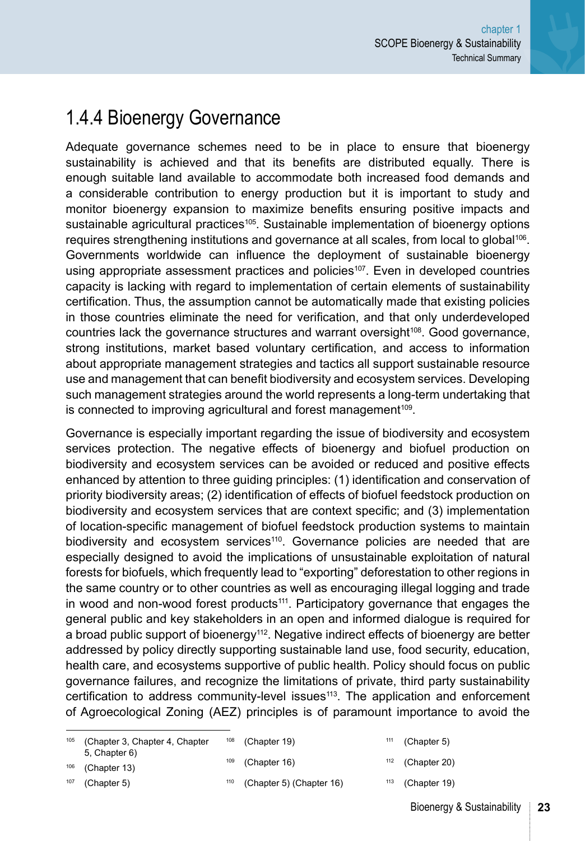#### <span id="page-15-0"></span>1.4.4 Bioenergy Governance

Adequate governance schemes need to be in place to ensure that bioenergy sustainability is achieved and that its benefits are distributed equally. There is enough suitable land available to accommodate both increased food demands and a considerable contribution to energy production but it is important to study and monitor bioenergy expansion to maximize benefits ensuring positive impacts and sustainable agricultural practices<sup>105</sup>. Sustainable implementation of bioenergy options requires strengthening institutions and governance at all scales, from local to global<sup>106</sup>. Governments worldwide can influence the deployment of sustainable bioenergy using appropriate assessment practices and policies<sup>107</sup>. Even in developed countries capacity is lacking with regard to implementation of certain elements of sustainability certification. Thus, the assumption cannot be automatically made that existing policies in those countries eliminate the need for verification, and that only underdeveloped countries lack the governance structures and warrant oversight<sup>108</sup>. Good governance, strong institutions, market based voluntary certification, and access to information about appropriate management strategies and tactics all support sustainable resource use and management that can benefit biodiversity and ecosystem services. Developing such management strategies around the world represents a long-term undertaking that is connected to improving agricultural and forest management<sup>109</sup>.

Governance is especially important regarding the issue of biodiversity and ecosystem services protection. The negative effects of bioenergy and biofuel production on biodiversity and ecosystem services can be avoided or reduced and positive effects enhanced by attention to three guiding principles: (1) identification and conservation of priority biodiversity areas; (2) identification of effects of biofuel feedstock production on biodiversity and ecosystem services that are context specific; and (3) implementation of location-specific management of biofuel feedstock production systems to maintain biodiversity and ecosystem services<sup>110</sup>. Governance policies are needed that are especially designed to avoid the implications of unsustainable exploitation of natural forests for biofuels, which frequently lead to "exporting" deforestation to other regions in the same country or to other countries as well as encouraging illegal logging and trade in wood and non-wood forest products<sup>111</sup>. Participatory governance that engages the general public and key stakeholders in an open and informed dialogue is required for a broad public support of bioenergy<sup>112</sup>. Negative indirect effects of bioenergy are better addressed by policy directly supporting sustainable land use, food security, education, health care, and ecosystems supportive of public health. Policy should focus on public governance failures, and recognize the limitations of private, third party sustainability certification to address community-level issues $113$ . The application and enforcement of Agroecological Zoning (AEZ) principles is of paramount importance to avoid the

| 105 | (Chapter 3, Chapter 4, Chapter | 108 | (Chapter 19)       | 111 | (Chapter 5)        |
|-----|--------------------------------|-----|--------------------|-----|--------------------|
|     | 5, Chapter 6)                  |     |                    |     |                    |
| 106 | (Chapter 13)                   |     | $109$ (Chapter 16) |     | $112$ (Chapter 20) |

([Chapter 5\)](#page--1-0)

- ([Chapter 5\)](#page--1-0) [\(Chapter 16\)](#page--1-0)
- $113$  ([Chapter 19](#page--1-0))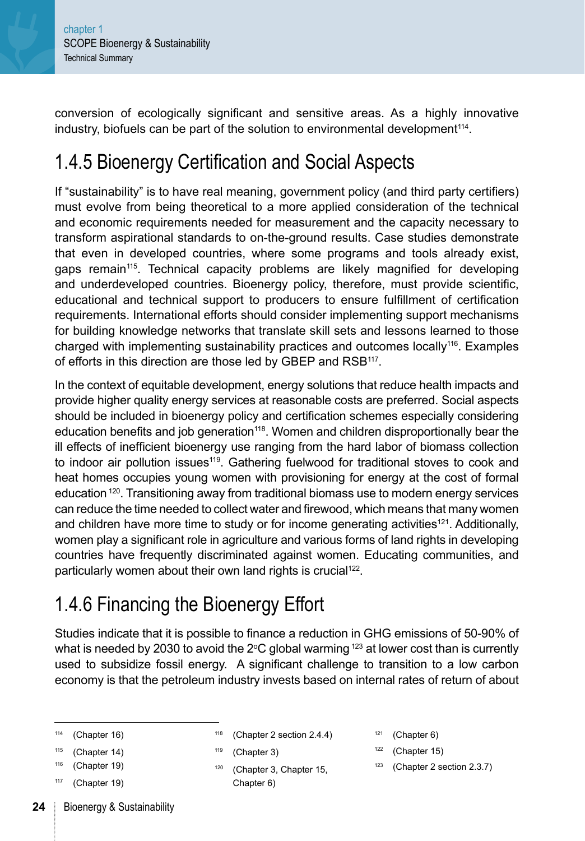<span id="page-16-0"></span>conversion of ecologically significant and sensitive areas. As a highly innovative industry, biofuels can be part of the solution to environmental development<sup>114</sup>.

#### 1.4.5 Bioenergy Certification and Social Aspects

If "sustainability" is to have real meaning, government policy (and third party certifiers) must evolve from being theoretical to a more applied consideration of the technical and economic requirements needed for measurement and the capacity necessary to transform aspirational standards to on-the-ground results. Case studies demonstrate that even in developed countries, where some programs and tools already exist, gaps remain115. Technical capacity problems are likely magnified for developing and underdeveloped countries. Bioenergy policy, therefore, must provide scientific, educational and technical support to producers to ensure fulfillment of certification requirements. International efforts should consider implementing support mechanisms for building knowledge networks that translate skill sets and lessons learned to those charged with implementing sustainability practices and outcomes locally<sup>116</sup>. Examples of efforts in this direction are those led by GBEP and RSB<sup>117</sup>.

In the context of equitable development, energy solutions that reduce health impacts and provide higher quality energy services at reasonable costs are preferred. Social aspects should be included in bioenergy policy and certification schemes especially considering education benefits and job generation<sup>118</sup>. Women and children disproportionally bear the ill effects of inefficient bioenergy use ranging from the hard labor of biomass collection to indoor air pollution issues<sup>119</sup>. Gathering fuelwood for traditional stoves to cook and heat homes occupies young women with provisioning for energy at the cost of formal education 120. Transitioning away from traditional biomass use to modern energy services can reduce the time needed to collect water and firewood, which means that many women and children have more time to study or for income generating activities<sup>121</sup>. Additionally, women play a significant role in agriculture and various forms of land rights in developing countries have frequently discriminated against women. Educating communities, and particularly women about their own land rights is crucial<sup>122</sup>.

#### 1.4.6 Financing the Bioenergy Effort

Studies indicate that it is possible to finance a reduction in GHG emissions of 50-90% of what is needed by 2030 to avoid the 2°C global warming  $^{123}$  at lower cost than is currently used to subsidize fossil energy. A significant challenge to transition to a low carbon economy is that the petroleum industry invests based on internal rates of return of about

- <sup>114</sup> [\(Chapter 16\)](#page--1-0)
- <sup>115</sup> [\(Chapter 14\)](#page--1-0)
- <sup>116</sup> [\(Chapter 19\)](#page--1-0)
- <sup>117</sup> [\(Chapter 19\)](#page--1-0)
- **24** Bioenergy & Sustainability

<sup>118</sup> [\(Chapter 2 section 2.4.4](#page--1-0))

- <sup>119</sup> [\(Chapter 3\)](#page--1-0)
- <sup>120</sup> [\(Chapter 3,](#page--1-0) [Chapter 15](#page--1-0), [Chapter 6](#page--1-0))
- $121$  [\(Chapter 6\)](#page--1-0)
- $122$  [\(Chapter 15\)](#page--1-0)
- <sup>123</sup> [\(Chapter 2 section 2.3.7](#page--1-0))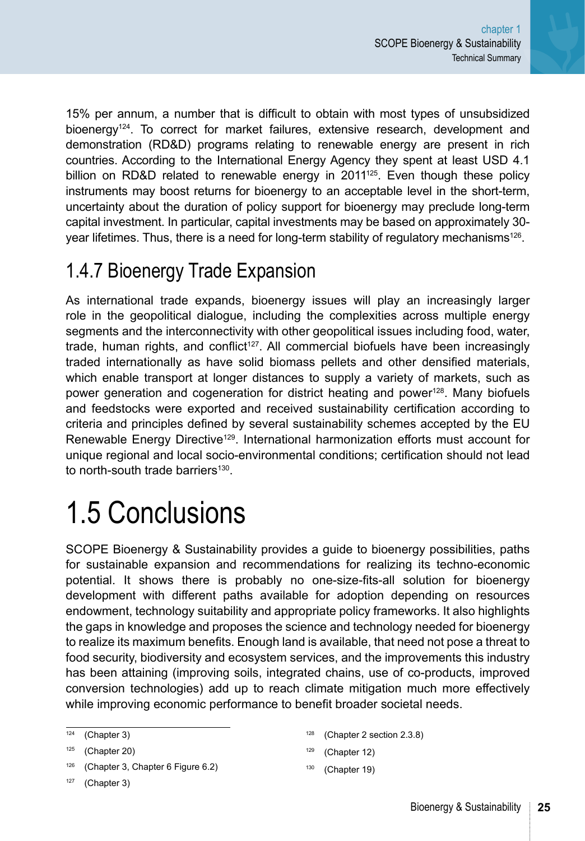<span id="page-17-0"></span>15% per annum, a number that is difficult to obtain with most types of unsubsidized bioenergy<sup>124</sup>. To correct for market failures, extensive research, development and demonstration (RD&D) programs relating to renewable energy are present in rich countries. According to the International Energy Agency they spent at least USD 4.1 billion on RD&D related to renewable energy in 2011<sup>125</sup>. Even though these policy instruments may boost returns for bioenergy to an acceptable level in the short-term, uncertainty about the duration of policy support for bioenergy may preclude long-term capital investment. In particular, capital investments may be based on approximately 30 year lifetimes. Thus, there is a need for long-term stability of regulatory mechanisms<sup>126</sup>.

#### 1.4.7 Bioenergy Trade Expansion

As international trade expands, bioenergy issues will play an increasingly larger role in the geopolitical dialogue, including the complexities across multiple energy segments and the interconnectivity with other geopolitical issues including food, water, trade, human rights, and conflict<sup>127</sup>. All commercial biofuels have been increasingly traded internationally as have solid biomass pellets and other densified materials, which enable transport at longer distances to supply a variety of markets, such as power generation and cogeneration for district heating and power<sup>128</sup>. Many biofuels and feedstocks were exported and received sustainability certification according to criteria and principles defined by several sustainability schemes accepted by the EU Renewable Energy Directive<sup>129</sup>. International harmonization efforts must account for unique regional and local socio-environmental conditions; certification should not lead to north-south trade barriers $130$ .

## 1.5 Conclusions

SCOPE Bioenergy & Sustainability provides a guide to bioenergy possibilities, paths for sustainable expansion and recommendations for realizing its techno-economic potential. It shows there is probably no one-size-fits-all solution for bioenergy development with different paths available for adoption depending on resources endowment, technology suitability and appropriate policy frameworks. It also highlights the gaps in knowledge and proposes the science and technology needed for bioenergy to realize its maximum benefits. Enough land is available, that need not pose a threat to food security, biodiversity and ecosystem services, and the improvements this industry has been attaining (improving soils, integrated chains, use of co-products, improved conversion technologies) add up to reach climate mitigation much more effectively while improving economic performance to benefit broader societal needs.

- ([Chapter 2 section 2.3.8](#page--1-0))
- <sup>129</sup> ([Chapter 12](#page--1-0))
- <sup>1</sup><sup>30</sup> ([Chapter 19](#page--1-0))

 $124$  ([Chapter 3\)](#page--1-0)

 $125$  ([Chapter 20](#page--1-0))

<sup>126</sup> ([Chapter 3, Chapter 6 Figure 6.2\)](#page--1-0)

 $127$  ([Chapter 3\)](#page--1-0)